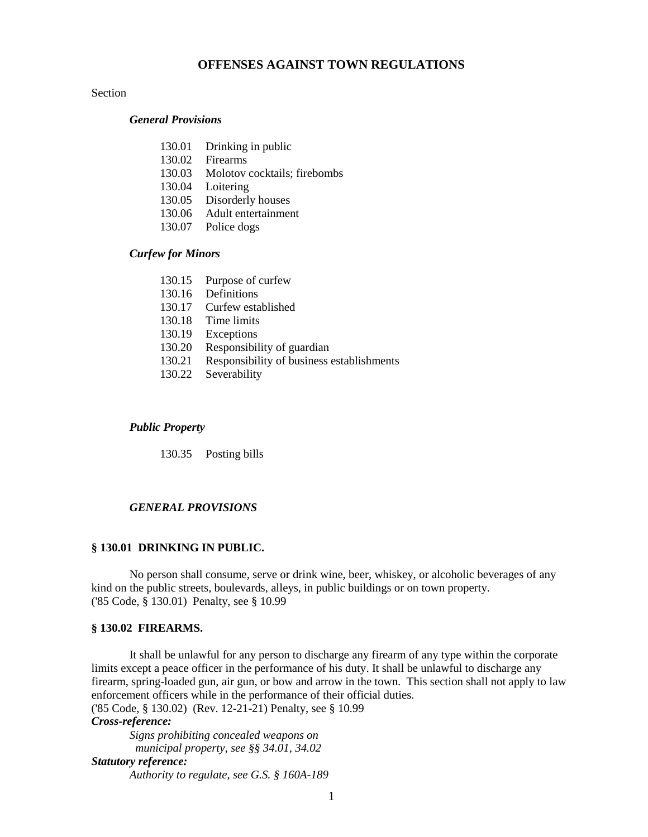## Section

### *General Provisions*

- 130.01 Drinking in public
- 130.02 Firearms
- 130.03 Molotov cocktails; firebombs
- 130.04 Loitering
- 130.05 Disorderly houses
- 130.06 Adult entertainment
- 130.07 Police dogs

### *Curfew for Minors*

|        | 130.15 Purpose of curfew                  |
|--------|-------------------------------------------|
| 130.16 | Definitions                               |
| 130.17 | Curfew established                        |
| 130.18 | Time limits                               |
| 130.19 | Exceptions                                |
| 130.20 | Responsibility of guardian                |
| 130.21 | Responsibility of business establishments |
| 130.22 | Severability                              |

#### *Public Property*

130.35 Posting bills

### *GENERAL PROVISIONS*

### **§ 130.01 DRINKING IN PUBLIC.**

No person shall consume, serve or drink wine, beer, whiskey, or alcoholic beverages of any kind on the public streets, boulevards, alleys, in public buildings or on town property. ('85 Code, § 130.01) Penalty, see § 10.99

#### **§ 130.02 FIREARMS.**

It shall be unlawful for any person to discharge any firearm of any type within the corporate limits except a peace officer in the performance of his duty. It shall be unlawful to discharge any firearm, spring-loaded gun, air gun, or bow and arrow in the town. This section shall not apply to law enforcement officers while in the performance of their official duties. ('85 Code, § 130.02) (Rev. 12-21-21) Penalty, see § 10.99

#### *Cross-reference:*

*Signs prohibiting concealed weapons on municipal property, see §§ 34.01, 34.02 Statutory reference: Authority to regulate, see G.S. § 160A-189*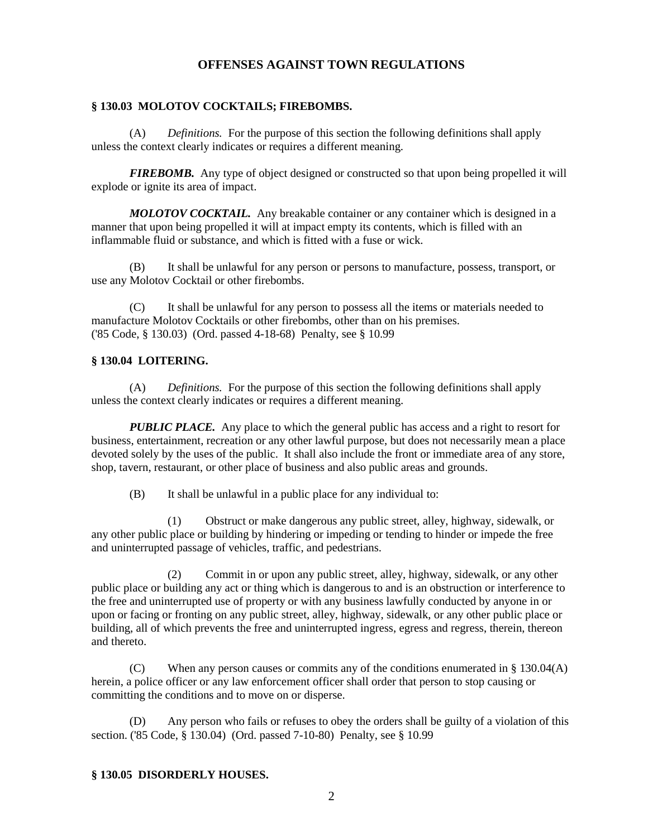### **§ 130.03 MOLOTOV COCKTAILS; FIREBOMBS.**

(A) *Definitions.* For the purpose of this section the following definitions shall apply unless the context clearly indicates or requires a different meaning.

*FIREBOMB.* Any type of object designed or constructed so that upon being propelled it will explode or ignite its area of impact.

*MOLOTOV COCKTAIL.* Any breakable container or any container which is designed in a manner that upon being propelled it will at impact empty its contents, which is filled with an inflammable fluid or substance, and which is fitted with a fuse or wick.

(B) It shall be unlawful for any person or persons to manufacture, possess, transport, or use any Molotov Cocktail or other firebombs.

(C) It shall be unlawful for any person to possess all the items or materials needed to manufacture Molotov Cocktails or other firebombs, other than on his premises. ('85 Code, § 130.03) (Ord. passed 4-18-68) Penalty, see § 10.99

## **§ 130.04 LOITERING.**

(A) *Definitions.* For the purpose of this section the following definitions shall apply unless the context clearly indicates or requires a different meaning.

*PUBLIC PLACE.* Any place to which the general public has access and a right to resort for business, entertainment, recreation or any other lawful purpose, but does not necessarily mean a place devoted solely by the uses of the public. It shall also include the front or immediate area of any store, shop, tavern, restaurant, or other place of business and also public areas and grounds.

(B) It shall be unlawful in a public place for any individual to:

(1) Obstruct or make dangerous any public street, alley, highway, sidewalk, or any other public place or building by hindering or impeding or tending to hinder or impede the free and uninterrupted passage of vehicles, traffic, and pedestrians.

(2) Commit in or upon any public street, alley, highway, sidewalk, or any other public place or building any act or thing which is dangerous to and is an obstruction or interference to the free and uninterrupted use of property or with any business lawfully conducted by anyone in or upon or facing or fronting on any public street, alley, highway, sidewalk, or any other public place or building, all of which prevents the free and uninterrupted ingress, egress and regress, therein, thereon and thereto.

(C) When any person causes or commits any of the conditions enumerated in § 130.04(A) herein, a police officer or any law enforcement officer shall order that person to stop causing or committing the conditions and to move on or disperse.

(D) Any person who fails or refuses to obey the orders shall be guilty of a violation of this section. ('85 Code, § 130.04) (Ord. passed 7-10-80) Penalty, see § 10.99

#### **§ 130.05 DISORDERLY HOUSES.**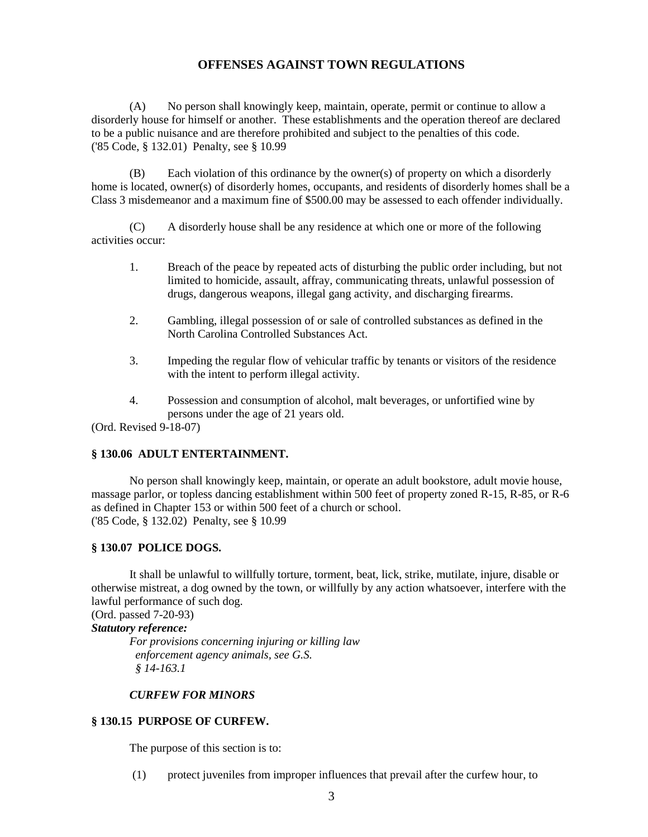(A) No person shall knowingly keep, maintain, operate, permit or continue to allow a disorderly house for himself or another. These establishments and the operation thereof are declared to be a public nuisance and are therefore prohibited and subject to the penalties of this code. ('85 Code, § 132.01) Penalty, see § 10.99

(B) Each violation of this ordinance by the owner(s) of property on which a disorderly home is located, owner(s) of disorderly homes, occupants, and residents of disorderly homes shall be a Class 3 misdemeanor and a maximum fine of \$500.00 may be assessed to each offender individually.

(C) A disorderly house shall be any residence at which one or more of the following activities occur:

- 1. Breach of the peace by repeated acts of disturbing the public order including, but not limited to homicide, assault, affray, communicating threats, unlawful possession of drugs, dangerous weapons, illegal gang activity, and discharging firearms.
- 2. Gambling, illegal possession of or sale of controlled substances as defined in the North Carolina Controlled Substances Act.
- 3. Impeding the regular flow of vehicular traffic by tenants or visitors of the residence with the intent to perform illegal activity.
- 4. Possession and consumption of alcohol, malt beverages, or unfortified wine by persons under the age of 21 years old.

(Ord. Revised 9-18-07)

### **§ 130.06 ADULT ENTERTAINMENT.**

No person shall knowingly keep, maintain, or operate an adult bookstore, adult movie house, massage parlor, or topless dancing establishment within 500 feet of property zoned R-15, R-85, or R-6 as defined in Chapter 153 or within 500 feet of a church or school. ('85 Code, § 132.02) Penalty, see § 10.99

### **§ 130.07 POLICE DOGS.**

It shall be unlawful to willfully torture, torment, beat, lick, strike, mutilate, injure, disable or otherwise mistreat, a dog owned by the town, or willfully by any action whatsoever, interfere with the lawful performance of such dog.

(Ord. passed 7-20-93)

*Statutory reference:*

*For provisions concerning injuring or killing law enforcement agency animals, see G.S. § 14-163.1*

#### *CURFEW FOR MINORS*

## **§ 130.15 PURPOSE OF CURFEW.**

The purpose of this section is to:

(1) protect juveniles from improper influences that prevail after the curfew hour, to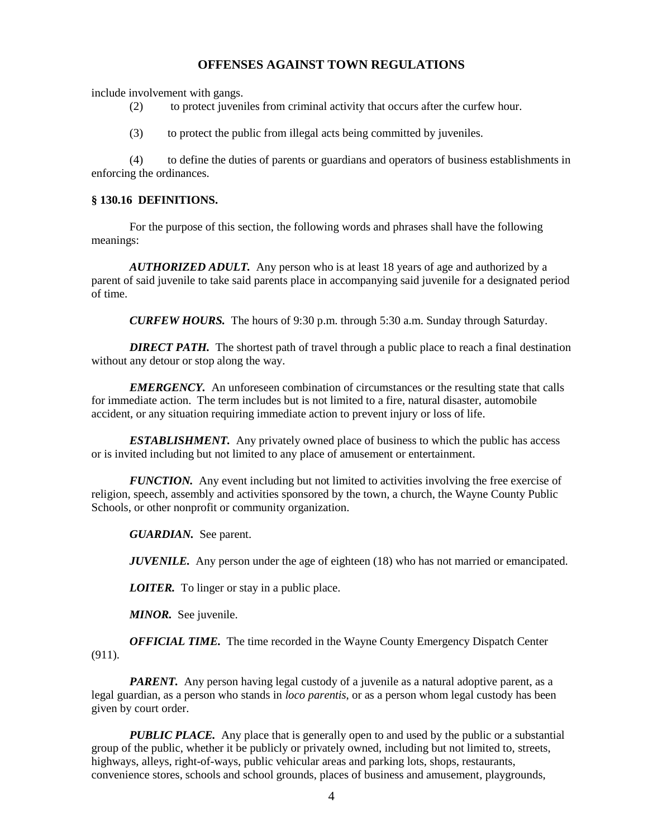include involvement with gangs.

- (2) to protect juveniles from criminal activity that occurs after the curfew hour.
- (3) to protect the public from illegal acts being committed by juveniles.

(4) to define the duties of parents or guardians and operators of business establishments in enforcing the ordinances.

### **§ 130.16 DEFINITIONS.**

For the purpose of this section, the following words and phrases shall have the following meanings:

*AUTHORIZED ADULT.* Any person who is at least 18 years of age and authorized by a parent of said juvenile to take said parents place in accompanying said juvenile for a designated period of time.

*CURFEW HOURS.* The hours of 9:30 p.m. through 5:30 a.m. Sunday through Saturday.

**DIRECT PATH.** The shortest path of travel through a public place to reach a final destination without any detour or stop along the way.

*EMERGENCY.* An unforeseen combination of circumstances or the resulting state that calls for immediate action. The term includes but is not limited to a fire, natural disaster, automobile accident, or any situation requiring immediate action to prevent injury or loss of life.

*ESTABLISHMENT.* Any privately owned place of business to which the public has access or is invited including but not limited to any place of amusement or entertainment.

*FUNCTION.* Any event including but not limited to activities involving the free exercise of religion, speech, assembly and activities sponsored by the town, a church, the Wayne County Public Schools, or other nonprofit or community organization.

*GUARDIAN.* See parent.

*JUVENILE.* Any person under the age of eighteen (18) who has not married or emancipated.

*LOITER.* To linger or stay in a public place.

*MINOR.* See juvenile.

*OFFICIAL TIME.* The time recorded in the Wayne County Emergency Dispatch Center (911).

*PARENT*. Any person having legal custody of a juvenile as a natural adoptive parent, as a legal guardian, as a person who stands in *loco parentis*, or as a person whom legal custody has been given by court order.

*PUBLIC PLACE.* Any place that is generally open to and used by the public or a substantial group of the public, whether it be publicly or privately owned, including but not limited to, streets, highways, alleys, right-of-ways, public vehicular areas and parking lots, shops, restaurants, convenience stores, schools and school grounds, places of business and amusement, playgrounds,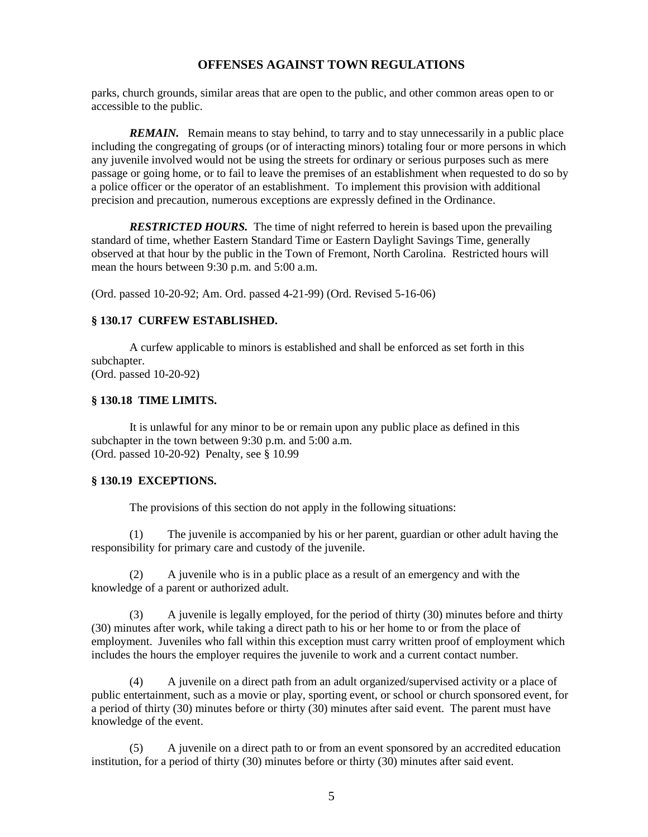parks, church grounds, similar areas that are open to the public, and other common areas open to or accessible to the public.

*REMAIN.* Remain means to stay behind, to tarry and to stay unnecessarily in a public place including the congregating of groups (or of interacting minors) totaling four or more persons in which any juvenile involved would not be using the streets for ordinary or serious purposes such as mere passage or going home, or to fail to leave the premises of an establishment when requested to do so by a police officer or the operator of an establishment. To implement this provision with additional precision and precaution, numerous exceptions are expressly defined in the Ordinance.

*RESTRICTED HOURS*. The time of night referred to herein is based upon the prevailing standard of time, whether Eastern Standard Time or Eastern Daylight Savings Time, generally observed at that hour by the public in the Town of Fremont, North Carolina. Restricted hours will mean the hours between 9:30 p.m. and 5:00 a.m.

(Ord. passed 10-20-92; Am. Ord. passed 4-21-99) (Ord. Revised 5-16-06)

## **§ 130.17 CURFEW ESTABLISHED.**

A curfew applicable to minors is established and shall be enforced as set forth in this subchapter. (Ord. passed 10-20-92)

### **§ 130.18 TIME LIMITS.**

It is unlawful for any minor to be or remain upon any public place as defined in this subchapter in the town between 9:30 p.m. and 5:00 a.m. (Ord. passed 10-20-92) Penalty, see § 10.99

#### **§ 130.19 EXCEPTIONS.**

The provisions of this section do not apply in the following situations:

(1) The juvenile is accompanied by his or her parent, guardian or other adult having the responsibility for primary care and custody of the juvenile.

(2) A juvenile who is in a public place as a result of an emergency and with the knowledge of a parent or authorized adult.

(3) A juvenile is legally employed, for the period of thirty (30) minutes before and thirty (30) minutes after work, while taking a direct path to his or her home to or from the place of employment. Juveniles who fall within this exception must carry written proof of employment which includes the hours the employer requires the juvenile to work and a current contact number.

(4) A juvenile on a direct path from an adult organized/supervised activity or a place of public entertainment, such as a movie or play, sporting event, or school or church sponsored event, for a period of thirty (30) minutes before or thirty (30) minutes after said event. The parent must have knowledge of the event.

(5) A juvenile on a direct path to or from an event sponsored by an accredited education institution, for a period of thirty (30) minutes before or thirty (30) minutes after said event.